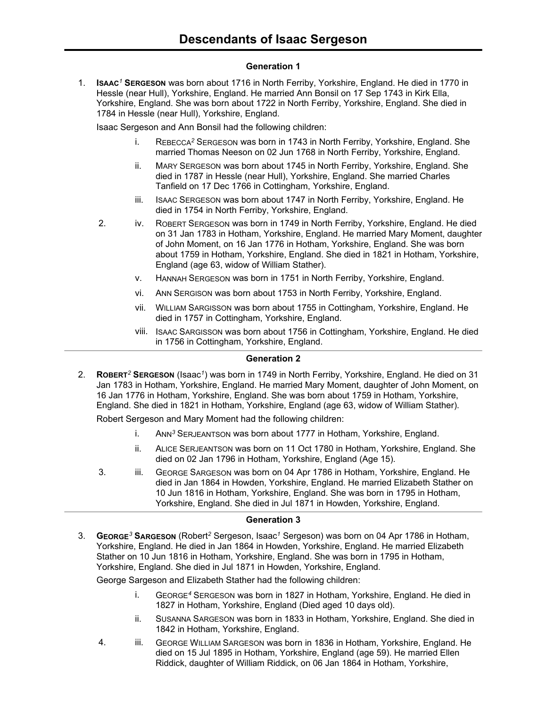# **Generation 1**

1. **ISAAC***<sup>1</sup>* **SERGESON** was born about 1716 in North Ferriby, Yorkshire, England. He died in 1770 in Hessle (near Hull), Yorkshire, England. He married Ann Bonsil on 17 Sep 1743 in Kirk Ella, Yorkshire, England. She was born about 1722 in North Ferriby, Yorkshire, England. She died in 1784 in Hessle (near Hull), Yorkshire, England.

Isaac Sergeson and Ann Bonsil had the following children:

- i. REBECCA*<sup>2</sup>* SERGESON was born in 1743 in North Ferriby, Yorkshire, England. She married Thomas Neeson on 02 Jun 1768 in North Ferriby, Yorkshire, England.
- ii. MARY SERGESON was born about 1745 in North Ferriby, Yorkshire, England. She died in 1787 in Hessle (near Hull), Yorkshire, England. She married Charles Tanfield on 17 Dec 1766 in Cottingham, Yorkshire, England.
- iii. ISAAC SERGESON was born about 1747 in North Ferriby, Yorkshire, England. He died in 1754 in North Ferriby, Yorkshire, England.
- 2. iv. ROBERT SERGESON was born in 1749 in North Ferriby, Yorkshire, England. He died on 31 Jan 1783 in Hotham, Yorkshire, England. He married Mary Moment, daughter of John Moment, on 16 Jan 1776 in Hotham, Yorkshire, England. She was born about 1759 in Hotham, Yorkshire, England. She died in 1821 in Hotham, Yorkshire, England (age 63, widow of William Stather).
	- v. HANNAH SERGESON was born in 1751 in North Ferriby, Yorkshire, England.
	- vi. ANN SERGISON was born about 1753 in North Ferriby, Yorkshire, England.
	- vii. WILLIAM SARGISSON was born about 1755 in Cottingham, Yorkshire, England. He died in 1757 in Cottingham, Yorkshire, England.
	- viii. ISAAC SARGISSON was born about 1756 in Cottingham, Yorkshire, England. He died in 1756 in Cottingham, Yorkshire, England.

### **Generation 2**

2. **ROBERT***<sup>2</sup>* **SERGESON** (Isaac*<sup>1</sup>* ) was born in 1749 in North Ferriby, Yorkshire, England. He died on 31 Jan 1783 in Hotham, Yorkshire, England. He married Mary Moment, daughter of John Moment, on 16 Jan 1776 in Hotham, Yorkshire, England. She was born about 1759 in Hotham, Yorkshire, England. She died in 1821 in Hotham, Yorkshire, England (age 63, widow of William Stather).

Robert Sergeson and Mary Moment had the following children:

- i. ANN*<sup>3</sup>* SERJEANTSON was born about 1777 in Hotham, Yorkshire, England.
- ii. ALICE SERJEANTSON was born on 11 Oct 1780 in Hotham, Yorkshire, England. She died on 02 Jan 1796 in Hotham, Yorkshire, England (Age 15).
- 3. iii. GEORGE SARGESON was born on 04 Apr 1786 in Hotham, Yorkshire, England. He died in Jan 1864 in Howden, Yorkshire, England. He married Elizabeth Stather on 10 Jun 1816 in Hotham, Yorkshire, England. She was born in 1795 in Hotham, Yorkshire, England. She died in Jul 1871 in Howden, Yorkshire, England.

# **Generation 3**

3. **GEORGE***<sup>3</sup>* **SARGESON** (Robert*<sup>2</sup>* Sergeson, Isaac*<sup>1</sup>* Sergeson) was born on 04 Apr 1786 in Hotham, Yorkshire, England. He died in Jan 1864 in Howden, Yorkshire, England. He married Elizabeth Stather on 10 Jun 1816 in Hotham, Yorkshire, England. She was born in 1795 in Hotham, Yorkshire, England. She died in Jul 1871 in Howden, Yorkshire, England.

George Sargeson and Elizabeth Stather had the following children:

- i. GEORGE*<sup>4</sup>* SERGESON was born in 1827 in Hotham, Yorkshire, England. He died in 1827 in Hotham, Yorkshire, England (Died aged 10 days old).
- ii. SUSANNA SARGESON was born in 1833 in Hotham, Yorkshire, England. She died in 1842 in Hotham, Yorkshire, England.
- 4. iii. GEORGE WILLIAM SARGESON was born in 1836 in Hotham, Yorkshire, England. He died on 15 Jul 1895 in Hotham, Yorkshire, England (age 59). He married Ellen Riddick, daughter of William Riddick, on 06 Jan 1864 in Hotham, Yorkshire,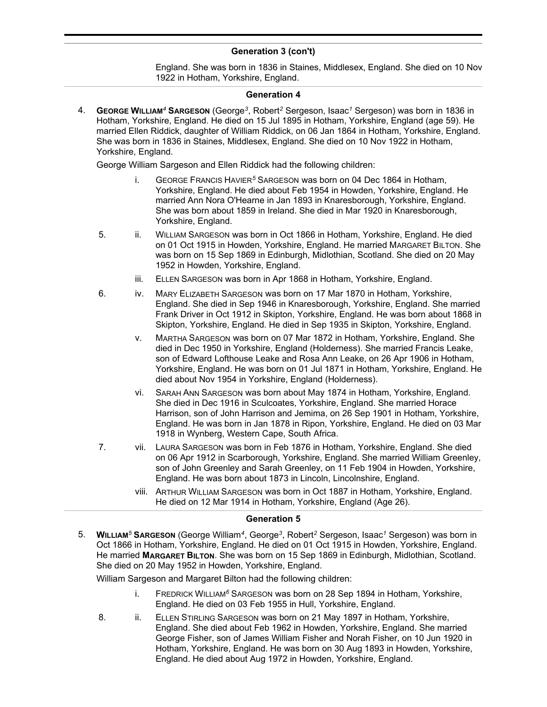# **Generation 3 (con't)**

England. She was born in 1836 in Staines, Middlesex, England. She died on 10 Nov 1922 in Hotham, Yorkshire, England.

### **Generation 4**

4. **GEORGE WILLIAM***<sup>4</sup>* **SARGESON** (George*<sup>3</sup>* , Robert*<sup>2</sup>* Sergeson, Isaac*<sup>1</sup>* Sergeson) was born in 1836 in Hotham, Yorkshire, England. He died on 15 Jul 1895 in Hotham, Yorkshire, England (age 59). He married Ellen Riddick, daughter of William Riddick, on 06 Jan 1864 in Hotham, Yorkshire, England. She was born in 1836 in Staines, Middlesex, England. She died on 10 Nov 1922 in Hotham, Yorkshire, England.

George William Sargeson and Ellen Riddick had the following children:

- i. GEORGE FRANCIS HAVIER*<sup>5</sup>* SARGESON was born on 04 Dec 1864 in Hotham, Yorkshire, England. He died about Feb 1954 in Howden, Yorkshire, England. He married Ann Nora O'Hearne in Jan 1893 in Knaresborough, Yorkshire, England. She was born about 1859 in Ireland. She died in Mar 1920 in Knaresborough, Yorkshire, England.
- 5. ii. WILLIAM SARGESON was born in Oct 1866 in Hotham, Yorkshire, England. He died on 01 Oct 1915 in Howden, Yorkshire, England. He married MARGARET BILTON. She was born on 15 Sep 1869 in Edinburgh, Midlothian, Scotland. She died on 20 May 1952 in Howden, Yorkshire, England.
	- iii. ELLEN SARGESON was born in Apr 1868 in Hotham, Yorkshire, England.
- 6. iv. MARY ELIZABETH SARGESON was born on 17 Mar 1870 in Hotham, Yorkshire, England. She died in Sep 1946 in Knaresborough, Yorkshire, England. She married Frank Driver in Oct 1912 in Skipton, Yorkshire, England. He was born about 1868 in Skipton, Yorkshire, England. He died in Sep 1935 in Skipton, Yorkshire, England.
	- v. MARTHA SARGESON was born on 07 Mar 1872 in Hotham, Yorkshire, England. She died in Dec 1950 in Yorkshire, England (Holderness). She married Francis Leake, son of Edward Lofthouse Leake and Rosa Ann Leake, on 26 Apr 1906 in Hotham, Yorkshire, England. He was born on 01 Jul 1871 in Hotham, Yorkshire, England. He died about Nov 1954 in Yorkshire, England (Holderness).
	- vi. SARAH ANN SARGESON was born about May 1874 in Hotham, Yorkshire, England. She died in Dec 1916 in Sculcoates, Yorkshire, England. She married Horace Harrison, son of John Harrison and Jemima, on 26 Sep 1901 in Hotham, Yorkshire, England. He was born in Jan 1878 in Ripon, Yorkshire, England. He died on 03 Mar 1918 in Wynberg, Western Cape, South Africa.
- 7. vii. LAURA SARGESON was born in Feb 1876 in Hotham, Yorkshire, England. She died on 06 Apr 1912 in Scarborough, Yorkshire, England. She married William Greenley, son of John Greenley and Sarah Greenley, on 11 Feb 1904 in Howden, Yorkshire, England. He was born about 1873 in Lincoln, Lincolnshire, England.
	- viii. ARTHUR WILLIAM SARGESON was born in Oct 1887 in Hotham, Yorkshire, England. He died on 12 Mar 1914 in Hotham, Yorkshire, England (Age 26).

#### **Generation 5**

5. **WILLIAM***<sup>5</sup>* **SARGESON** (George William*<sup>4</sup>* , George*<sup>3</sup>* , Robert*<sup>2</sup>* Sergeson, Isaac*<sup>1</sup>* Sergeson) was born in Oct 1866 in Hotham, Yorkshire, England. He died on 01 Oct 1915 in Howden, Yorkshire, England. He married **MARGARET BILTON**. She was born on 15 Sep 1869 in Edinburgh, Midlothian, Scotland. She died on 20 May 1952 in Howden, Yorkshire, England.

William Sargeson and Margaret Bilton had the following children:

- i. FREDRICK WILLIAM*<sup>6</sup>* SARGESON was born on 28 Sep 1894 in Hotham, Yorkshire, England. He died on 03 Feb 1955 in Hull, Yorkshire, England.
- 8. ii. ELLEN STIRLING SARGESON was born on 21 May 1897 in Hotham, Yorkshire, England. She died about Feb 1962 in Howden, Yorkshire, England. She married George Fisher, son of James William Fisher and Norah Fisher, on 10 Jun 1920 in Hotham, Yorkshire, England. He was born on 30 Aug 1893 in Howden, Yorkshire, England. He died about Aug 1972 in Howden, Yorkshire, England.